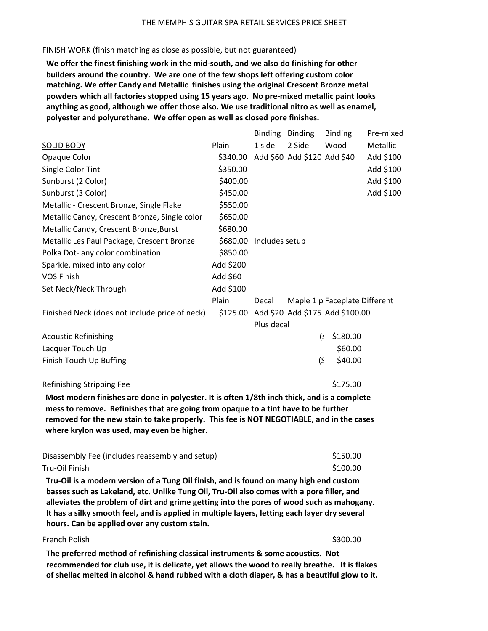## THE MEMPHIS GUITAR SPA RETAIL SERVICES PRICE SHEET

## FINISH WORK (finish matching as close as possible, but not guaranteed)

We offer the finest finishing work in the mid-south, and we also do finishing for other builders around the country. We are one of the few shops left offering custom color matching. We offer Candy and Metallic finishes using the original Crescent Bronze metal powders which all factories stopped using 15 years ago. No pre-mixed metallic paint looks anything as good, although we offer those also. We use traditional nitro as well as enamel, polyester and polyurethane. We offer open as well as closed pore finishes.

|                                                                                                                                                                                |           | Binding        | <b>Binding</b>              | <b>Binding</b>                  | Pre-mixed |  |
|--------------------------------------------------------------------------------------------------------------------------------------------------------------------------------|-----------|----------------|-----------------------------|---------------------------------|-----------|--|
| <b>SOLID BODY</b>                                                                                                                                                              | Plain     | 1 side         | 2 Side                      | Wood                            | Metallic  |  |
| Opaque Color                                                                                                                                                                   | \$340.00  |                | Add \$60 Add \$120 Add \$40 |                                 | Add \$100 |  |
| Single Color Tint                                                                                                                                                              | \$350.00  |                |                             |                                 | Add \$100 |  |
| Sunburst (2 Color)                                                                                                                                                             | \$400.00  |                |                             |                                 | Add \$100 |  |
| Sunburst (3 Color)                                                                                                                                                             | \$450.00  |                |                             |                                 | Add \$100 |  |
| Metallic - Crescent Bronze, Single Flake                                                                                                                                       | \$550.00  |                |                             |                                 |           |  |
| Metallic Candy, Crescent Bronze, Single color                                                                                                                                  | \$650.00  |                |                             |                                 |           |  |
| Metallic Candy, Crescent Bronze, Burst                                                                                                                                         | \$680.00  |                |                             |                                 |           |  |
| Metallic Les Paul Package, Crescent Bronze                                                                                                                                     | \$680.00  | Includes setup |                             |                                 |           |  |
| Polka Dot- any color combination                                                                                                                                               | \$850.00  |                |                             |                                 |           |  |
| Sparkle, mixed into any color                                                                                                                                                  | Add \$200 |                |                             |                                 |           |  |
| <b>VOS Finish</b>                                                                                                                                                              | Add \$60  |                |                             |                                 |           |  |
| Set Neck/Neck Through                                                                                                                                                          | Add \$100 |                |                             |                                 |           |  |
|                                                                                                                                                                                | Plain     | Decal          |                             | Maple 1 p Faceplate Different   |           |  |
| Finished Neck (does not include price of neck)                                                                                                                                 | \$125.00  |                |                             | Add \$20 Add \$175 Add \$100.00 |           |  |
|                                                                                                                                                                                |           | Plus decal     |                             |                                 |           |  |
| <b>Acoustic Refinishing</b>                                                                                                                                                    |           |                | <u>(s</u>                   | \$180.00                        |           |  |
| Lacquer Touch Up                                                                                                                                                               |           |                |                             | \$60.00                         |           |  |
| Finish Touch Up Buffing                                                                                                                                                        |           |                | $\frac{1}{2}$               | \$40.00                         |           |  |
| Refinishing Stripping Fee                                                                                                                                                      |           |                |                             | \$175.00                        |           |  |
| Most modern finishes are done in polyester. It is often 1/8th inch thick, and is a complete                                                                                    |           |                |                             |                                 |           |  |
| mess to remove. Refinishes that are going from opaque to a tint have to be further<br>removed for the new stain to take properly. This fee is NOT NEGOTIABLE, and in the cases |           |                |                             |                                 |           |  |

where krylon was used, may even be higher.

| Disassembly Fee (includes reassembly and setup) | \$150.00 |
|-------------------------------------------------|----------|
| Tru-Oil Finish                                  | \$100.00 |

Tru-Oil is a modern version of a Tung Oil finish, and is found on many high end custom basses such as Lakeland, etc. Unlike Tung Oil, Tru-Oil also comes with a pore filler, and alleviates the problem of dirt and grime getting into the pores of wood such as mahogany. It has a silky smooth feel, and is applied in multiple layers, letting each layer dry several hours. Can be applied over any custom stain.

## French Polish and the starting of the starting of the starting of the starting of the starting of the starting of the starting of the starting of the starting of the starting of the starting of the starting of the starting

The preferred method of refinishing classical instruments & some acoustics. Not recommended for club use, it is delicate, yet allows the wood to really breathe. It is flakes of shellac melted in alcohol & hand rubbed with a cloth diaper, & has a beautiful glow to it.